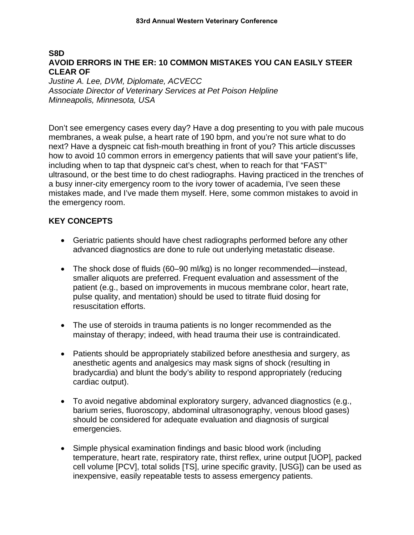## **S8D AVOID ERRORS IN THE ER: 10 COMMON MISTAKES YOU CAN EASILY STEER CLEAR OF**

*Justine A. Lee, DVM, Diplomate, ACVECC Associate Director of Veterinary Services at Pet Poison Helpline Minneapolis, Minnesota, USA* 

Don't see emergency cases every day? Have a dog presenting to you with pale mucous membranes, a weak pulse, a heart rate of 190 bpm, and you're not sure what to do next? Have a dyspneic cat fish-mouth breathing in front of you? This article discusses how to avoid 10 common errors in emergency patients that will save your patient's life, including when to tap that dyspneic cat's chest, when to reach for that "FAST" ultrasound, or the best time to do chest radiographs. Having practiced in the trenches of a busy inner-city emergency room to the ivory tower of academia, I've seen these mistakes made, and I've made them myself. Here, some common mistakes to avoid in the emergency room.

## **KEY CONCEPTS**

- Geriatric patients should have chest radiographs performed before any other advanced diagnostics are done to rule out underlying metastatic disease.
- The shock dose of fluids (60–90 ml/kg) is no longer recommended—instead, smaller aliquots are preferred. Frequent evaluation and assessment of the patient (e.g., based on improvements in mucous membrane color, heart rate, pulse quality, and mentation) should be used to titrate fluid dosing for resuscitation efforts.
- The use of steroids in trauma patients is no longer recommended as the mainstay of therapy; indeed, with head trauma their use is contraindicated.
- Patients should be appropriately stabilized before anesthesia and surgery, as anesthetic agents and analgesics may mask signs of shock (resulting in bradycardia) and blunt the body's ability to respond appropriately (reducing cardiac output).
- To avoid negative abdominal exploratory surgery, advanced diagnostics (e.g., barium series, fluoroscopy, abdominal ultrasonography, venous blood gases) should be considered for adequate evaluation and diagnosis of surgical emergencies.
- Simple physical examination findings and basic blood work (including temperature, heart rate, respiratory rate, thirst reflex, urine output [UOP], packed cell volume [PCV], total solids [TS], urine specific gravity, [USG]) can be used as inexpensive, easily repeatable tests to assess emergency patients.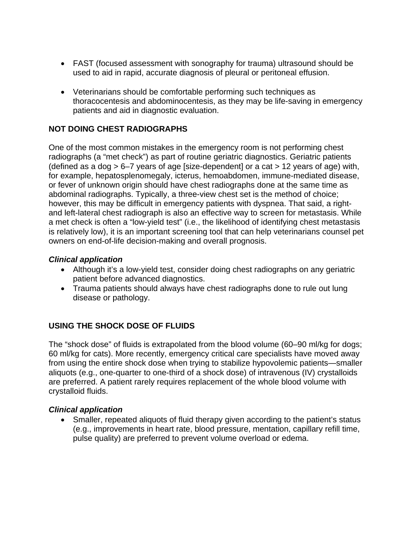- FAST (focused assessment with sonography for trauma) ultrasound should be used to aid in rapid, accurate diagnosis of pleural or peritoneal effusion.
- Veterinarians should be comfortable performing such techniques as thoracocentesis and abdominocentesis, as they may be life-saving in emergency patients and aid in diagnostic evaluation.

## **NOT DOING CHEST RADIOGRAPHS**

One of the most common mistakes in the emergency room is not performing chest radiographs (a "met check") as part of routine geriatric diagnostics. Geriatric patients (defined as a dog > 6–7 years of age [size-dependent] or a cat > 12 years of age) with, for example, hepatosplenomegaly, icterus, hemoabdomen, immune-mediated disease, or fever of unknown origin should have chest radiographs done at the same time as abdominal radiographs. Typically, a three-view chest set is the method of choice; however, this may be difficult in emergency patients with dyspnea. That said, a rightand left-lateral chest radiograph is also an effective way to screen for metastasis. While a met check is often a "low-yield test" (i.e., the likelihood of identifying chest metastasis is relatively low), it is an important screening tool that can help veterinarians counsel pet owners on end-of-life decision-making and overall prognosis.

#### *Clinical application*

- Although it's a low-yield test, consider doing chest radiographs on any geriatric patient before advanced diagnostics.
- Trauma patients should always have chest radiographs done to rule out lung disease or pathology.

# **USING THE SHOCK DOSE OF FLUIDS**

The "shock dose" of fluids is extrapolated from the blood volume (60–90 ml/kg for dogs; 60 ml/kg for cats). More recently, emergency critical care specialists have moved away from using the entire shock dose when trying to stabilize hypovolemic patients—smaller aliquots (e.g., one-quarter to one-third of a shock dose) of intravenous (IV) crystalloids are preferred. A patient rarely requires replacement of the whole blood volume with crystalloid fluids.

#### *Clinical application*

• Smaller, repeated aliquots of fluid therapy given according to the patient's status (e.g., improvements in heart rate, blood pressure, mentation, capillary refill time, pulse quality) are preferred to prevent volume overload or edema.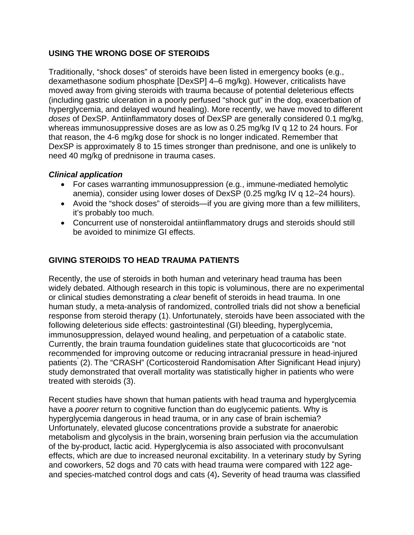## **USING THE WRONG DOSE OF STEROIDS**

Traditionally, "shock doses" of steroids have been listed in emergency books (e.g., dexamethasone sodium phosphate [DexSP] 4–6 mg/kg). However, criticalists have moved away from giving steroids with trauma because of potential deleterious effects (including gastric ulceration in a poorly perfused "shock gut" in the dog, exacerbation of hyperglycemia, and delayed wound healing). More recently, we have moved to different *doses* of DexSP. Antiinflammatory doses of DexSP are generally considered 0.1 mg/kg, whereas immunosuppressive doses are as low as 0.25 mg/kg IV q 12 to 24 hours. For that reason, the 4-6 mg/kg dose for shock is no longer indicated. Remember that DexSP is approximately 8 to 15 times stronger than prednisone, and one is unlikely to need 40 mg/kg of prednisone in trauma cases.

### *Clinical application*

- For cases warranting immunosuppression (e.g., immune-mediated hemolytic anemia), consider using lower doses of DexSP (0.25 mg/kg IV q 12–24 hours).
- Avoid the "shock doses" of steroids—if you are giving more than a few milliliters, it's probably too much.
- Concurrent use of nonsteroidal antiinflammatory drugs and steroids should still be avoided to minimize GI effects.

# **GIVING STEROIDS TO HEAD TRAUMA PATIENTS**

Recently, the use of steroids in both human and veterinary head trauma has been widely debated. Although research in this topic is voluminous, there are no experimental or clinical studies demonstrating a *clear* benefit of steroids in head trauma. In one human study, a meta-analysis of randomized, controlled trials did not show a beneficial response from steroid therapy (1). Unfortunately, steroids have been associated with the following deleterious side effects: gastrointestinal (GI) bleeding, hyperglycemia, immunosuppression, delayed wound healing, and perpetuation of a catabolic state. Currently, the brain trauma foundation guidelines state that glucocorticoids are "not recommended for improving outcome or reducing intracranial pressure in head-injured patients" (2). The "CRASH" (Corticosteroid Randomisation After Significant Head injury) study demonstrated that overall mortality was statistically higher in patients who were treated with steroids (3).

Recent studies have shown that human patients with head trauma and hyperglycemia have a *poorer* return to cognitive function than do euglycemic patients. Why is hyperglycemia dangerous in head trauma, or in any case of brain ischemia? Unfortunately, elevated glucose concentrations provide a substrate for anaerobic metabolism and glycolysis in the brain, worsening brain perfusion via the accumulation of the by-product, lactic acid. Hyperglycemia is also associated with proconvulsant effects, which are due to increased neuronal excitability. In a veterinary study by Syring and coworkers, 52 dogs and 70 cats with head trauma were compared with 122 ageand species-matched control dogs and cats (4)**.** Severity of head trauma was classified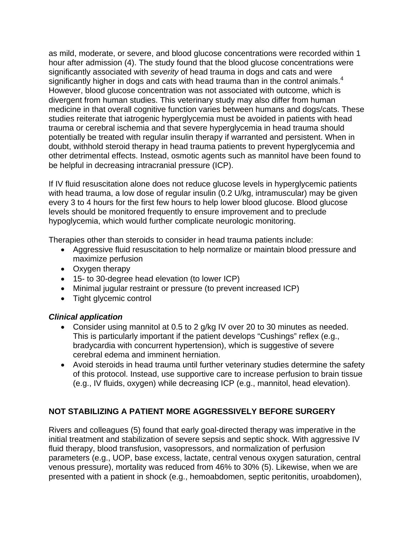as mild, moderate, or severe, and blood glucose concentrations were recorded within 1 hour after admission (4). The study found that the blood glucose concentrations were significantly associated with *severity* of head trauma in dogs and cats and were significantly higher in dogs and cats with head trauma than in the control animals. $4$ However, blood glucose concentration was not associated with outcome, which is divergent from human studies. This veterinary study may also differ from human medicine in that overall cognitive function varies between humans and dogs/cats. These studies reiterate that iatrogenic hyperglycemia must be avoided in patients with head trauma or cerebral ischemia and that severe hyperglycemia in head trauma should potentially be treated with regular insulin therapy if warranted and persistent. When in doubt, withhold steroid therapy in head trauma patients to prevent hyperglycemia and other detrimental effects. Instead, osmotic agents such as mannitol have been found to be helpful in decreasing intracranial pressure (ICP).

If IV fluid resuscitation alone does not reduce glucose levels in hyperglycemic patients with head trauma, a low dose of regular insulin (0.2 U/kg, intramuscular) may be given every 3 to 4 hours for the first few hours to help lower blood glucose. Blood glucose levels should be monitored frequently to ensure improvement and to preclude hypoglycemia, which would further complicate neurologic monitoring.

Therapies other than steroids to consider in head trauma patients include:

- Aggressive fluid resuscitation to help normalize or maintain blood pressure and maximize perfusion
- Oxygen therapy
- 15- to 30-degree head elevation (to lower ICP)
- Minimal jugular restraint or pressure (to prevent increased ICP)
- Tight glycemic control

### *Clinical application*

- Consider using mannitol at 0.5 to 2 g/kg IV over 20 to 30 minutes as needed. This is particularly important if the patient develops "Cushings" reflex (e.g., bradycardia with concurrent hypertension), which is suggestive of severe cerebral edema and imminent herniation.
- Avoid steroids in head trauma until further veterinary studies determine the safety of this protocol. Instead, use supportive care to increase perfusion to brain tissue (e.g., IV fluids, oxygen) while decreasing ICP (e.g., mannitol, head elevation).

# **NOT STABILIZING A PATIENT MORE AGGRESSIVELY BEFORE SURGERY**

Rivers and colleagues (5) found that early goal-directed therapy was imperative in the initial treatment and stabilization of severe sepsis and septic shock. With aggressive IV fluid therapy, blood transfusion, vasopressors, and normalization of perfusion parameters (e.g., UOP, base excess, lactate, central venous oxygen saturation, central venous pressure), mortality was reduced from 46% to 30% (5). Likewise, when we are presented with a patient in shock (e.g., hemoabdomen, septic peritonitis, uroabdomen),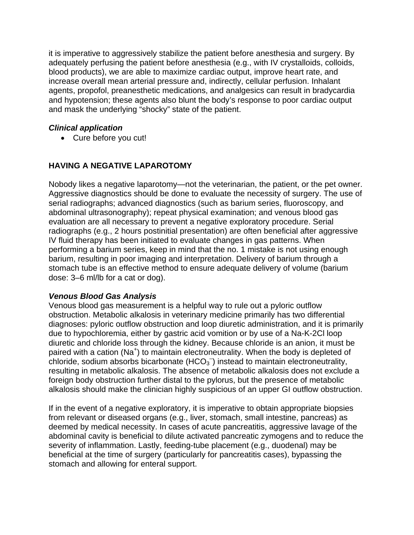it is imperative to aggressively stabilize the patient before anesthesia and surgery. By adequately perfusing the patient before anesthesia (e.g., with IV crystalloids, colloids, blood products), we are able to maximize cardiac output, improve heart rate, and increase overall mean arterial pressure and, indirectly, cellular perfusion. Inhalant agents, propofol, preanesthetic medications, and analgesics can result in bradycardia and hypotension; these agents also blunt the body's response to poor cardiac output and mask the underlying "shocky" state of the patient.

#### *Clinical application*

• Cure before you cut!

## **HAVING A NEGATIVE LAPAROTOMY**

Nobody likes a negative laparotomy—not the veterinarian, the patient, or the pet owner. Aggressive diagnostics should be done to evaluate the necessity of surgery. The use of serial radiographs; advanced diagnostics (such as barium series, fluoroscopy, and abdominal ultrasonography); repeat physical examination; and venous blood gas evaluation are all necessary to prevent a negative exploratory procedure. Serial radiographs (e.g., 2 hours postinitial presentation) are often beneficial after aggressive IV fluid therapy has been initiated to evaluate changes in gas patterns. When performing a barium series, keep in mind that the no. 1 mistake is not using enough barium, resulting in poor imaging and interpretation. Delivery of barium through a stomach tube is an effective method to ensure adequate delivery of volume (barium dose: 3–6 ml/lb for a cat or dog).

#### *Venous Blood Gas Analysis*

Venous blood gas measurement is a helpful way to rule out a pyloric outflow obstruction. Metabolic alkalosis in veterinary medicine primarily has two differential diagnoses: pyloric outflow obstruction and loop diuretic administration, and it is primarily due to hypochloremia, either by gastric acid vomition or by use of a Na-K-2Cl loop diuretic and chloride loss through the kidney. Because chloride is an anion, it must be paired with a cation (Na<sup>+</sup>) to maintain electroneutrality. When the body is depleted of chloride, sodium absorbs bicarbonate ( $HCO<sub>3</sub><sup>-</sup>$ ) instead to maintain electroneutrality, resulting in metabolic alkalosis. The absence of metabolic alkalosis does not exclude a foreign body obstruction further distal to the pylorus, but the presence of metabolic alkalosis should make the clinician highly suspicious of an upper GI outflow obstruction.

If in the event of a negative exploratory, it is imperative to obtain appropriate biopsies from relevant or diseased organs (e.g., liver, stomach, small intestine, pancreas) as deemed by medical necessity. In cases of acute pancreatitis, aggressive lavage of the abdominal cavity is beneficial to dilute activated pancreatic zymogens and to reduce the severity of inflammation. Lastly, feeding-tube placement (e.g., duodenal) may be beneficial at the time of surgery (particularly for pancreatitis cases), bypassing the stomach and allowing for enteral support.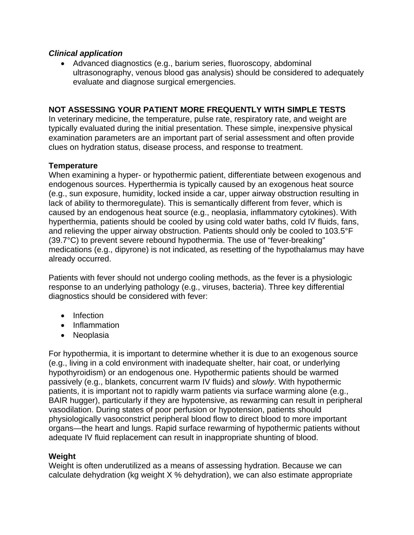#### *Clinical application*

 Advanced diagnostics (e.g., barium series, fluoroscopy, abdominal ultrasonography, venous blood gas analysis) should be considered to adequately evaluate and diagnose surgical emergencies.

## **NOT ASSESSING YOUR PATIENT MORE FREQUENTLY WITH SIMPLE TESTS**

In veterinary medicine, the temperature, pulse rate, respiratory rate, and weight are typically evaluated during the initial presentation. These simple, inexpensive physical examination parameters are an important part of serial assessment and often provide clues on hydration status, disease process, and response to treatment.

### **Temperature**

When examining a hyper- or hypothermic patient, differentiate between exogenous and endogenous sources. Hyperthermia is typically caused by an exogenous heat source (e.g., sun exposure, humidity, locked inside a car, upper airway obstruction resulting in lack of ability to thermoregulate). This is semantically different from fever, which is caused by an endogenous heat source (e.g., neoplasia, inflammatory cytokines). With hyperthermia, patients should be cooled by using cold water baths, cold IV fluids, fans, and relieving the upper airway obstruction. Patients should only be cooled to 103.5°F (39.7°C) to prevent severe rebound hypothermia. The use of "fever-breaking" medications (e.g., dipyrone) is not indicated, as resetting of the hypothalamus may have already occurred.

Patients with fever should not undergo cooling methods, as the fever is a physiologic response to an underlying pathology (e.g., viruses, bacteria). Three key differential diagnostics should be considered with fever:

- Infection
- Inflammation
- Neoplasia

For hypothermia, it is important to determine whether it is due to an exogenous source (e.g., living in a cold environment with inadequate shelter, hair coat, or underlying hypothyroidism) or an endogenous one. Hypothermic patients should be warmed passively (e.g., blankets, concurrent warm IV fluids) and *slowly*. With hypothermic patients, it is important not to rapidly warm patients via surface warming alone (e.g., BAIR hugger), particularly if they are hypotensive, as rewarming can result in peripheral vasodilation. During states of poor perfusion or hypotension, patients should physiologically vasoconstrict peripheral blood flow to direct blood to more important organs—the heart and lungs. Rapid surface rewarming of hypothermic patients without adequate IV fluid replacement can result in inappropriate shunting of blood.

### **Weight**

Weight is often underutilized as a means of assessing hydration. Because we can calculate dehydration (kg weight X % dehydration), we can also estimate appropriate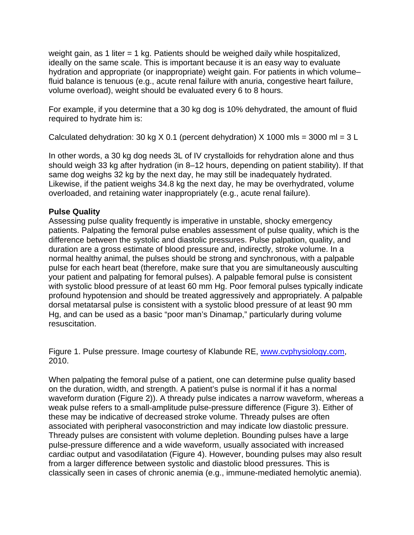weight gain, as 1 liter = 1 kg. Patients should be weighed daily while hospitalized, ideally on the same scale. This is important because it is an easy way to evaluate hydration and appropriate (or inappropriate) weight gain. For patients in which volume– fluid balance is tenuous (e.g., acute renal failure with anuria, congestive heart failure, volume overload), weight should be evaluated every 6 to 8 hours.

For example, if you determine that a 30 kg dog is 10% dehydrated, the amount of fluid required to hydrate him is:

Calculated dehydration: 30 kg X 0.1 (percent dehydration) X 1000 mls = 3000 ml = 3 L

In other words, a 30 kg dog needs 3L of IV crystalloids for rehydration alone and thus should weigh 33 kg after hydration (in 8–12 hours, depending on patient stability). If that same dog weighs 32 kg by the next day, he may still be inadequately hydrated. Likewise, if the patient weighs 34.8 kg the next day, he may be overhydrated, volume overloaded, and retaining water inappropriately (e.g., acute renal failure).

#### **Pulse Quality**

Assessing pulse quality frequently is imperative in unstable, shocky emergency patients. Palpating the femoral pulse enables assessment of pulse quality, which is the difference between the systolic and diastolic pressures. Pulse palpation, quality, and duration are a gross estimate of blood pressure and, indirectly, stroke volume. In a normal healthy animal, the pulses should be strong and synchronous, with a palpable pulse for each heart beat (therefore, make sure that you are simultaneously ausculting your patient and palpating for femoral pulses). A palpable femoral pulse is consistent with systolic blood pressure of at least 60 mm Hg. Poor femoral pulses typically indicate profound hypotension and should be treated aggressively and appropriately. A palpable dorsal metatarsal pulse is consistent with a systolic blood pressure of at least 90 mm Hg, and can be used as a basic "poor man's Dinamap," particularly during volume resuscitation.

Figure 1. Pulse pressure. Image courtesy of Klabunde RE, www.cvphysiology.com, 2010.

When palpating the femoral pulse of a patient, one can determine pulse quality based on the duration, width, and strength. A patient's pulse is normal if it has a normal waveform duration (Figure 2)). A thready pulse indicates a narrow waveform, whereas a weak pulse refers to a small-amplitude pulse-pressure difference (Figure 3). Either of these may be indicative of decreased stroke volume. Thready pulses are often associated with peripheral vasoconstriction and may indicate low diastolic pressure. Thready pulses are consistent with volume depletion. Bounding pulses have a large pulse-pressure difference and a wide waveform, usually associated with increased cardiac output and vasodilatation (Figure 4). However, bounding pulses may also result from a larger difference between systolic and diastolic blood pressures. This is classically seen in cases of chronic anemia (e.g., immune-mediated hemolytic anemia).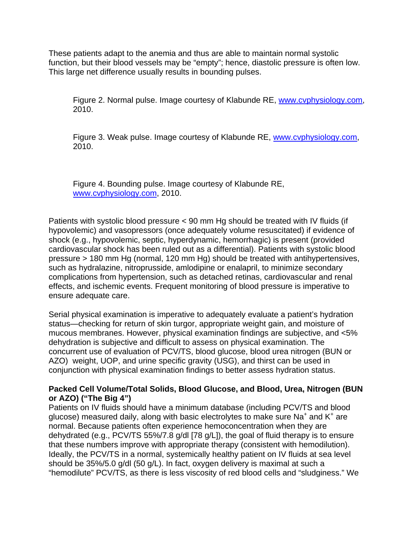These patients adapt to the anemia and thus are able to maintain normal systolic function, but their blood vessels may be "empty"; hence, diastolic pressure is often low. This large net difference usually results in bounding pulses.

Figure 2. Normal pulse. Image courtesy of Klabunde RE, www.cvphysiology.com, 2010.

Figure 3. Weak pulse. Image courtesy of Klabunde RE, www.cvphysiology.com, 2010.

Figure 4. Bounding pulse. Image courtesy of Klabunde RE, www.cvphysiology.com, 2010.

Patients with systolic blood pressure < 90 mm Hg should be treated with IV fluids (if hypovolemic) and vasopressors (once adequately volume resuscitated) if evidence of shock (e.g., hypovolemic, septic, hyperdynamic, hemorrhagic) is present (provided cardiovascular shock has been ruled out as a differential). Patients with systolic blood pressure > 180 mm Hg (normal, 120 mm Hg) should be treated with antihypertensives, such as hydralazine, nitroprusside, amlodipine or enalapril, to minimize secondary complications from hypertension, such as detached retinas, cardiovascular and renal effects, and ischemic events. Frequent monitoring of blood pressure is imperative to ensure adequate care.

Serial physical examination is imperative to adequately evaluate a patient's hydration status—checking for return of skin turgor, appropriate weight gain, and moisture of mucous membranes. However, physical examination findings are subjective, and <5% dehydration is subjective and difficult to assess on physical examination. The concurrent use of evaluation of PCV/TS, blood glucose, blood urea nitrogen (BUN or AZO) weight, UOP, and urine specific gravity (USG), and thirst can be used in conjunction with physical examination findings to better assess hydration status.

#### **Packed Cell Volume/Total Solids, Blood Glucose, and Blood, Urea, Nitrogen (BUN or AZO) ("The Big 4")**

Patients on IV fluids should have a minimum database (including PCV/TS and blood glucose) measured daily, along with basic electrolytes to make sure Na<sup>+</sup> and K<sup>+</sup> are normal. Because patients often experience hemoconcentration when they are dehydrated (e.g., PCV/TS 55%/7.8 g/dl [78 g/L]), the goal of fluid therapy is to ensure that these numbers improve with appropriate therapy (consistent with hemodilution). Ideally, the PCV/TS in a normal, systemically healthy patient on IV fluids at sea level should be 35%/5.0 g/dl (50 g/L). In fact, oxygen delivery is maximal at such a "hemodilute" PCV/TS, as there is less viscosity of red blood cells and "sludginess." We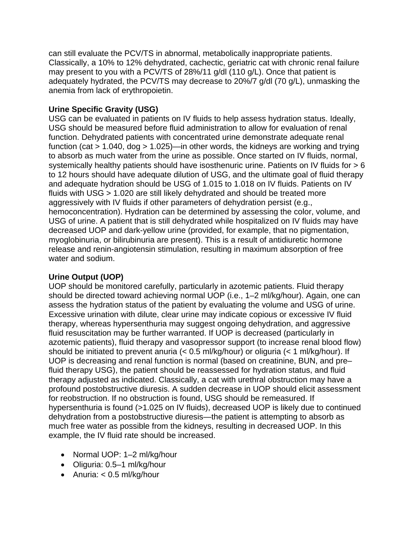can still evaluate the PCV/TS in abnormal, metabolically inappropriate patients. Classically, a 10% to 12% dehydrated, cachectic, geriatric cat with chronic renal failure may present to you with a PCV/TS of 28%/11 g/dl (110 g/L). Once that patient is adequately hydrated, the PCV/TS may decrease to 20%/7 g/dl (70 g/L), unmasking the anemia from lack of erythropoietin.

## **Urine Specific Gravity (USG)**

USG can be evaluated in patients on IV fluids to help assess hydration status. Ideally, USG should be measured before fluid administration to allow for evaluation of renal function. Dehydrated patients with concentrated urine demonstrate adequate renal function (cat > 1.040, dog > 1.025)—in other words, the kidneys are working and trying to absorb as much water from the urine as possible. Once started on IV fluids, normal, systemically healthy patients should have isosthenuric urine. Patients on IV fluids for  $> 6$ to 12 hours should have adequate dilution of USG, and the ultimate goal of fluid therapy and adequate hydration should be USG of 1.015 to 1.018 on IV fluids. Patients on IV fluids with USG > 1.020 are still likely dehydrated and should be treated more aggressively with IV fluids if other parameters of dehydration persist (e.g., hemoconcentration). Hydration can be determined by assessing the color, volume, and USG of urine. A patient that is still dehydrated while hospitalized on IV fluids may have decreased UOP and dark-yellow urine (provided, for example, that no pigmentation, myoglobinuria, or bilirubinuria are present). This is a result of antidiuretic hormone release and renin-angiotensin stimulation, resulting in maximum absorption of free water and sodium.

# **Urine Output (UOP)**

UOP should be monitored carefully, particularly in azotemic patients. Fluid therapy should be directed toward achieving normal UOP (i.e., 1–2 ml/kg/hour). Again, one can assess the hydration status of the patient by evaluating the volume and USG of urine. Excessive urination with dilute, clear urine may indicate copious or excessive IV fluid therapy, whereas hypersenthuria may suggest ongoing dehydration, and aggressive fluid resuscitation may be further warranted. If UOP is decreased (particularly in azotemic patients), fluid therapy and vasopressor support (to increase renal blood flow) should be initiated to prevent anuria (< 0.5 ml/kg/hour) or oliguria (< 1 ml/kg/hour). If UOP is decreasing and renal function is normal (based on creatinine, BUN, and pre– fluid therapy USG), the patient should be reassessed for hydration status, and fluid therapy adjusted as indicated. Classically, a cat with urethral obstruction may have a profound postobstructive diuresis. A sudden decrease in UOP should elicit assessment for reobstruction. If no obstruction is found, USG should be remeasured. If hypersenthuria is found (>1.025 on IV fluids), decreased UOP is likely due to continued dehydration from a postobstructive diuresis—the patient is attempting to absorb as much free water as possible from the kidneys, resulting in decreased UOP. In this example, the IV fluid rate should be increased.

- Normal UOP: 1-2 ml/kg/hour
- Oliguria: 0.5–1 ml/kg/hour
- $\bullet$  Anuria: < 0.5 ml/kg/hour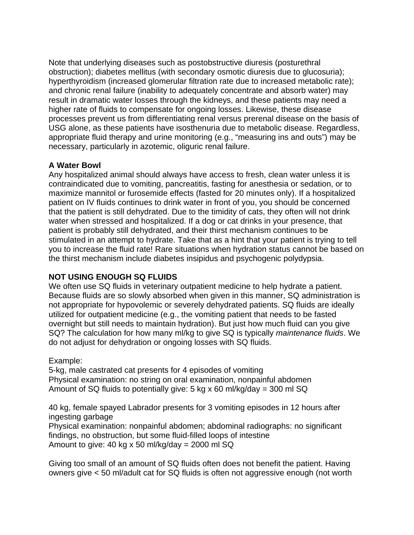Note that underlying diseases such as postobstructive diuresis (posturethral obstruction); diabetes mellitus (with secondary osmotic diuresis due to glucosuria); hyperthyroidism (increased glomerular filtration rate due to increased metabolic rate); and chronic renal failure (inability to adequately concentrate and absorb water) may result in dramatic water losses through the kidneys, and these patients may need a higher rate of fluids to compensate for ongoing losses. Likewise, these disease processes prevent us from differentiating renal versus prerenal disease on the basis of USG alone, as these patients have isosthenuria due to metabolic disease. Regardless, appropriate fluid therapy and urine monitoring (e.g., "measuring ins and outs") may be necessary, particularly in azotemic, oliguric renal failure.

### **A Water Bowl**

Any hospitalized animal should always have access to fresh, clean water unless it is contraindicated due to vomiting, pancreatitis, fasting for anesthesia or sedation, or to maximize mannitol or furosemide effects (fasted for 20 minutes only). If a hospitalized patient on IV fluids continues to drink water in front of you, you should be concerned that the patient is still dehydrated. Due to the timidity of cats, they often will not drink water when stressed and hospitalized. If a dog or cat drinks in your presence, that patient is probably still dehydrated, and their thirst mechanism continues to be stimulated in an attempt to hydrate. Take that as a hint that your patient is trying to tell you to increase the fluid rate! Rare situations when hydration status cannot be based on the thirst mechanism include diabetes insipidus and psychogenic polydypsia.

# **NOT USING ENOUGH SQ FLUIDS**

We often use SQ fluids in veterinary outpatient medicine to help hydrate a patient. Because fluids are so slowly absorbed when given in this manner, SQ administration is not appropriate for hypovolemic or severely dehydrated patients. SQ fluids are ideally utilized for outpatient medicine (e.g., the vomiting patient that needs to be fasted overnight but still needs to maintain hydration). But just how much fluid can you give SQ? The calculation for how many ml/kg to give SQ is typically *maintenance fluids*. We do not adjust for dehydration or ongoing losses with SQ fluids.

# Example:

5-kg, male castrated cat presents for 4 episodes of vomiting Physical examination: no string on oral examination, nonpainful abdomen Amount of SQ fluids to potentially give: 5 kg x 60 ml/kg/day = 300 ml SQ

40 kg, female spayed Labrador presents for 3 vomiting episodes in 12 hours after ingesting garbage

Physical examination: nonpainful abdomen; abdominal radiographs: no significant findings, no obstruction, but some fluid-filled loops of intestine Amount to give: 40 kg x 50 ml/kg/day = 2000 ml SQ

Giving too small of an amount of SQ fluids often does not benefit the patient. Having owners give < 50 ml/adult cat for SQ fluids is often not aggressive enough (not worth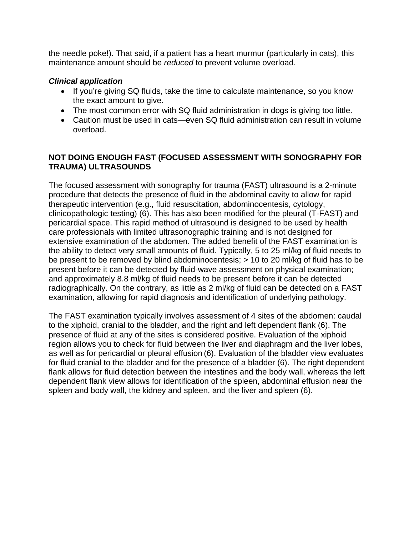the needle poke!). That said, if a patient has a heart murmur (particularly in cats), this maintenance amount should be *reduced* to prevent volume overload.

#### *Clinical application*

- If you're giving SQ fluids, take the time to calculate maintenance, so you know the exact amount to give.
- The most common error with SQ fluid administration in dogs is giving too little.
- Caution must be used in cats—even SQ fluid administration can result in volume overload.

### **NOT DOING ENOUGH FAST (FOCUSED ASSESSMENT WITH SONOGRAPHY FOR TRAUMA) ULTRASOUNDS**

The focused assessment with sonography for trauma (FAST) ultrasound is a 2-minute procedure that detects the presence of fluid in the abdominal cavity to allow for rapid therapeutic intervention (e.g., fluid resuscitation, abdominocentesis, cytology, clinicopathologic testing) (6). This has also been modified for the pleural (T-FAST) and pericardial space. This rapid method of ultrasound is designed to be used by health care professionals with limited ultrasonographic training and is not designed for extensive examination of the abdomen. The added benefit of the FAST examination is the ability to detect very small amounts of fluid. Typically, 5 to 25 ml/kg of fluid needs to be present to be removed by blind abdominocentesis; > 10 to 20 ml/kg of fluid has to be present before it can be detected by fluid-wave assessment on physical examination; and approximately 8.8 ml/kg of fluid needs to be present before it can be detected radiographically. On the contrary, as little as 2 ml/kg of fluid can be detected on a FAST examination, allowing for rapid diagnosis and identification of underlying pathology.

The FAST examination typically involves assessment of 4 sites of the abdomen: caudal to the xiphoid, cranial to the bladder, and the right and left dependent flank (6). The presence of fluid at any of the sites is considered positive. Evaluation of the xiphoid region allows you to check for fluid between the liver and diaphragm and the liver lobes, as well as for pericardial or pleural effusion (6). Evaluation of the bladder view evaluates for fluid cranial to the bladder and for the presence of a bladder (6). The right dependent flank allows for fluid detection between the intestines and the body wall, whereas the left dependent flank view allows for identification of the spleen, abdominal effusion near the spleen and body wall, the kidney and spleen, and the liver and spleen (6).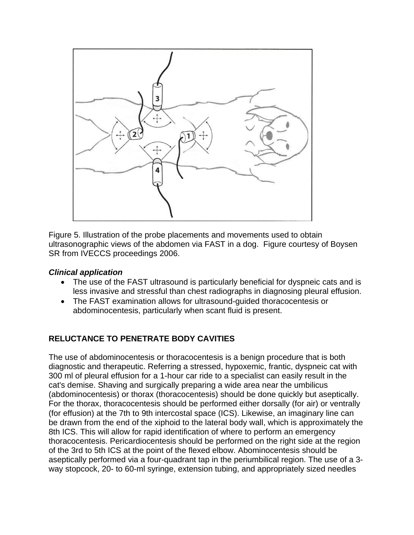

Figure 5. Illustration of the probe placements and movements used to obtain ultrasonographic views of the abdomen via FAST in a dog. Figure courtesy of Boysen SR from IVECCS proceedings 2006.

#### *Clinical application*

- The use of the FAST ultrasound is particularly beneficial for dyspneic cats and is less invasive and stressful than chest radiographs in diagnosing pleural effusion.
- The FAST examination allows for ultrasound-guided thoracocentesis or abdominocentesis, particularly when scant fluid is present.

# **RELUCTANCE TO PENETRATE BODY CAVITIES**

The use of abdominocentesis or thoracocentesis is a benign procedure that is both diagnostic and therapeutic. Referring a stressed, hypoxemic, frantic, dyspneic cat with 300 ml of pleural effusion for a 1-hour car ride to a specialist can easily result in the cat's demise. Shaving and surgically preparing a wide area near the umbilicus (abdominocentesis) or thorax (thoracocentesis) should be done quickly but aseptically. For the thorax, thoracocentesis should be performed either dorsally (for air) or ventrally (for effusion) at the 7th to 9th intercostal space (ICS). Likewise, an imaginary line can be drawn from the end of the xiphoid to the lateral body wall, which is approximately the 8th ICS. This will allow for rapid identification of where to perform an emergency thoracocentesis. Pericardiocentesis should be performed on the right side at the region of the 3rd to 5th ICS at the point of the flexed elbow. Abominocentesis should be aseptically performed via a four-quadrant tap in the periumbilical region. The use of a 3 way stopcock, 20- to 60-ml syringe, extension tubing, and appropriately sized needles